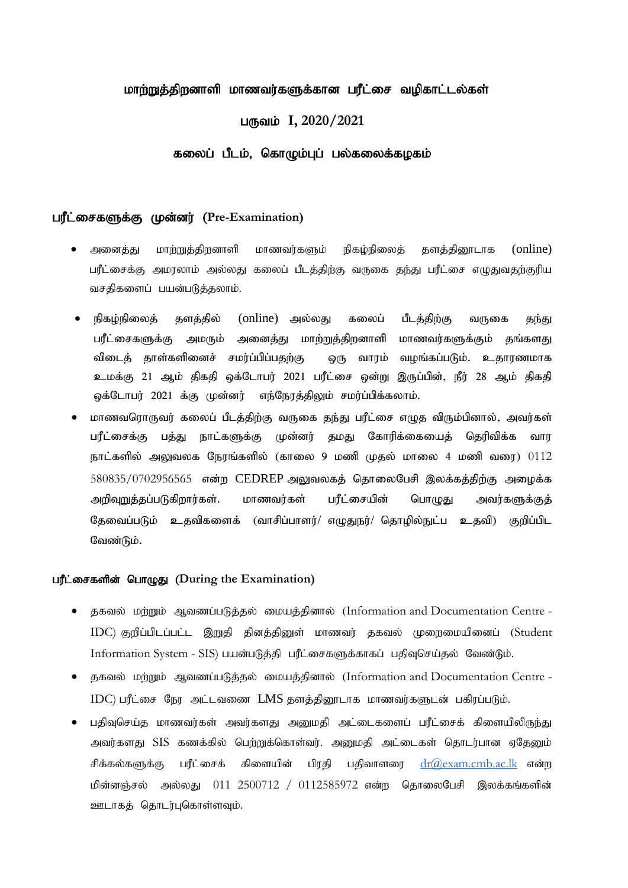# மாற்றுத்திறனாளி மாணவர்களுக்கான பரீட்சை வமிகாட்டல்கள்

# பருவம் I, 2020/2021

## கலைப் பீடம், கொழும்புப் பல்கலைக்கழகம்

# **பரீட்சைகளுக்கு முன்னர் (Pre-Examination)**

- அனைத்து மாற்றுத்திறனாளி மாணவர்களும் நிகம்நிலைத் தளத்திரைடாக (online) பரீட்சைக்கு அமரலாம் அல்லது கலைப் பீடத்திற்கு வருகை தந்து பரீட்சை எழுதுவதற்குரிய வசதிகளைப் பயன்படுத்தலாம்.
- நிகழ்நிலைத் தளத்தில் (online) அல்லது கலைப் பீடத்திற்கு வருகை தந்து பரீட்சைகளுக்கு அமரும் அனைத்து மாற்றுத்திறனாளி மாணவர்களுக்கும் தங்களது விடைக் காள்களினைச் சமர்ப்பிப்பகற்கு ஒரு வாரம் வழங்கப்படும். உகாரணமாக உமக்கு 21 ஆம் திகதி ஒக்டோபர் 2021 பரீட்சை ஒன்று இருப்பின், நீர் 28 ஆம் திகதி ஓக்டோபர் 2021 க்கு முன்னர் எந்நேரத்திலும் சமர்ப்பிக்கலாம்.
- மாணவரொருவர் கலைப் பீடத்திற்கு வருகை தந்து பரீட்சை எழுத விரும்பினால், அவர்கள் பரீட்சைக்கு பக்கு நாட்களுக்கு முன்னர் கமது கோரிக்கையைக் கெரிவிக்க வார நாட்களில் அலுவலக நேரங்களில் (காலை 9 மணி முதல் மாலை 4 மணி வரை)  $0112$  $580835/0702956565$  என்ற  $CEDREF$  அலுவலகத் தொலைபேசி இலக்கத்திற்கு அழைக்க அறிவுறுத்தப்படுகிறார்கள். மாணவர்கள் பரீட்சையின் பொழுது அவர்களுக்குத் தேவைப்படும் உதவிகளைக் (வாசிப்பாளர்/ எழுதுநர்/ தொழில்நுட்ப உதவி) குறிப்பிட வேண்டும்.

#### பரீட்சைகளின் பொழுது (During the Examination)

- சுகவல் மற்றும் ஆவணப்படுத்தல் மையத்தினால் (Information and Documentation Centre -IDC) குறிப்பிடப்பட்ட இறுதி தினத்தினுள் மாணவர் தகவல் முறைமையினைப் (Student Information System - SIS) பயன்படுக்கி பரீட்சைகளுக்காகப் பதிவசெய்தல் வேண்டும்.
- $\bullet$  தகவல் மற்றும் ஆவணப்படுத்தல் மையத்தினால் (Information and Documentation Centre - $IDC$ ) பரீட்சை நேர அட்டவணை  $LMS$  தளத்தினூடாக மாணவர்களுடன் பகிரப்படும்.
- பகிவசெய்க மாணவர்கள் அவர்களகு அமைகி அட்டைகளைப் பரீட்சைக் கிளையிலிருந்து அவர்களது SIS கணக்கில் பெற்றுக்கொள்வர். அனுமதி அட்டைகள் தொடர்பான ஏதேனும் சிக்கல்களுக்கு பரீட்சைக் கிளையின் பிரதி பதிவாளரை  $\frac{\mathrm{d}r(\partial\!\!\;\mathrm{exam.cmk}\;\mathrm{arc} \mathrm{d}\;\mathrm{s}}{w}$  என்ற மின்னஞ்சல் அல்லது  $011$  25 $00712$  /  $0112585972$  என்ற தொலைபேசி இலக்கங்களின் ஊடாகக் கொடர்பகொள்ளவம்.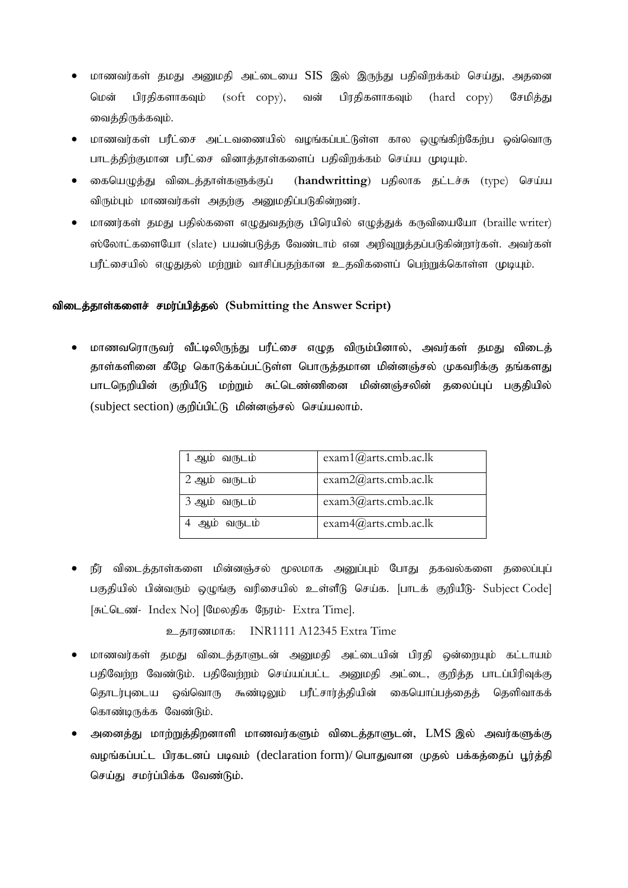- மாணவர்கள் தமது அனுமதி அட்டையை SIS இல் இருந்து பதிவிறக்கம் செய்து, அதனை மென் பிரதிகளாகவும் (soft copy), வன் பிரதிகளாகவும் (hard copy) சேமித்து வைத்திருக்கவும்.
- மாணவர்கள் பரீட்சை அட்டவணையில் வமங்கப்பட்டுள்ள கால ஒமுங்கிற்கேற்ப ஒவ்வொரு பாடத்திற்குமான பரீட்சை வினாத்தாள்களைப் பதிவிறக்கம் செய்ய முடியும்.
- கையெமுக்கு விடைக்காள்களுக்குப் (handwritting) பகிலாக கட்டச்சு (type) செய்ய விரும்பும் மாணவர்கள் அதற்கு அனுமதிப்படுகின்றனர்.
- மாணர்கள் தமது பதில்களை எழுதுவதற்கு பிரெயில் எழுத்துக் கருவியையோ (braille writer) ஸ்லோட்களையோ (slate) பயன்படுத்த வேண்டாம் என அறிவுறுத்தப்படுகின்றார்கள். அவர்கள் பரீட்சையில் எழுதுதல் மற்றும் வாசிப்பதற்கான உதவிகளைப் பெற்றுக்கொள்ள முடியும்.

## விடைத்தாள்களைச் சமர்ப்பித்தல் (Submitting the Answer Script)

் மாணவரொருவர் வீட்டிலிருந்து பரீட்சை எழுத விரும்பினால், அவர்கள் தமது விடைத் தாள்களினை கீழே கொடுக்கப்பட்டுள்ள பொருத்தமான மின்னஞ்சல் முகவரிக்கு தங்களது பாடநெறியின் குறியீடு மற்றும் சுட்டெண்ணினை மின்னஞ்சலின் தலைப்புப் பகுதியில்  $(subject section)$  குறிப்பிட்டு மின்னஞ்சல் செய்யலாம்.

| 1 ஆம் வருடம்  | exam1@arts.cmb.ac.lk  |
|---------------|-----------------------|
| 2 ஆம் வருடம்  | exam2@arts.comb.ac.lk |
| 3 ஆம் வருடம்  | exam3@arts.comb.ac.lk |
| வருடம்<br>ஆம் | exam4@arts.comb.ac.lk |

நீர் விடைத்தாள்களை மின்னஞ்சல் மூலமாக அனுப்பும் போது தகவல்களை தலைப்புப் பகுதியில் பின்வரும் ஒழுங்கு வரிசையில் உள்ளீடு செய்க. [பாடக் குறியீடு- Subject Code] [சுட்டெண்- Index No] [மேலதிக நேரம்- Extra Time].

உகாரணமாக: INR1111 A12345 Extra Time

- மாணவர்கள் தமது விடைத்தாளுடன் அனுமதி அட்டையின் பிரதி ஒன்றையும் கட்டாயம் பதிவேற்ற வேண்டும். பதிவேற்றம் செய்யப்பட்ட அனுமதி அட்டை, குறித்த பாடப்பிரிவுக்கு தொடர்புடைய ஒவ்வொரு கூண்டிலும் பரீட்சார்த்தியின் கையொப்பத்தைத் தெளிவாகக் கொண்டிருக்க வேண்டும்.
- அனைத்து மாற்றுத்திறனாளி மாணவர்களும் விடைத்தாளுடன், LMS இல் அவர்களுக்கு வழங்கப்பட்ட பிரகடனப் படிவம் (declaration form)/ பொதுவான முதல் பக்கத்தைப் பூர்த்தி செய்து சமர்ப்பிக்க வேண்டும்.